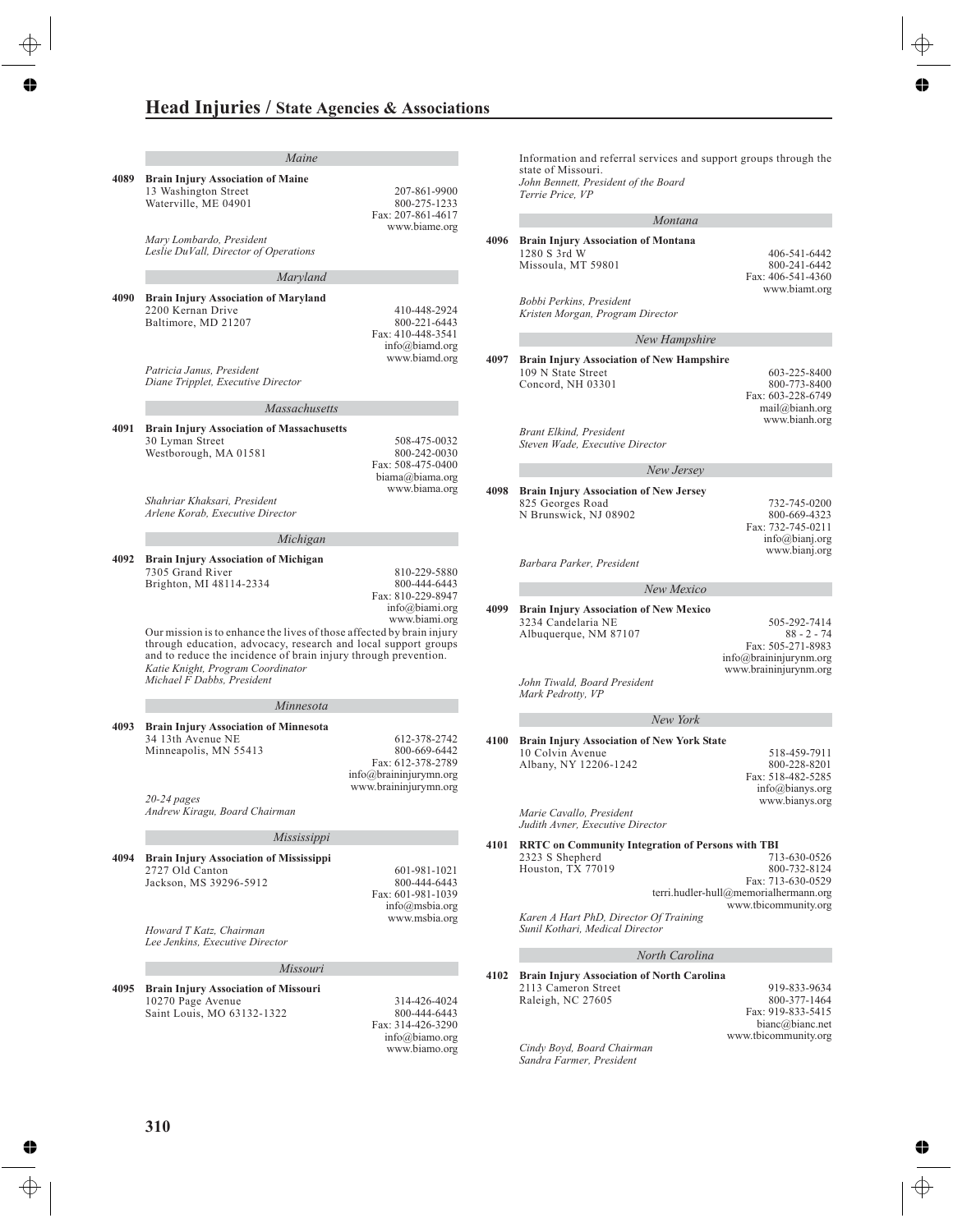|      | Maine                                                                                                                                                                                                                                                                                                                                                                       |                                                                                                      |
|------|-----------------------------------------------------------------------------------------------------------------------------------------------------------------------------------------------------------------------------------------------------------------------------------------------------------------------------------------------------------------------------|------------------------------------------------------------------------------------------------------|
| 4089 | <b>Brain Injury Association of Maine</b><br>13 Washington Street<br>Waterville, ME 04901                                                                                                                                                                                                                                                                                    | 207-861-9900<br>800-275-1233<br>Fax: 207-861-4617<br>www.biame.org                                   |
|      | Mary Lombardo, President<br>Leslie DuVall, Director of Operations                                                                                                                                                                                                                                                                                                           |                                                                                                      |
|      | Maryland                                                                                                                                                                                                                                                                                                                                                                    |                                                                                                      |
| 4090 | <b>Brain Injury Association of Maryland</b><br>2200 Kernan Drive<br>Baltimore, MD 21207                                                                                                                                                                                                                                                                                     | 410-448-2924<br>800-221-6443<br>Fax: 410-448-3541<br>$info@$ biamd.org<br>www.biamd.org              |
|      | Patricia Janus, President<br>Diane Tripplet, Executive Director                                                                                                                                                                                                                                                                                                             |                                                                                                      |
|      | <b>Massachusetts</b>                                                                                                                                                                                                                                                                                                                                                        |                                                                                                      |
| 4091 | <b>Brain Injury Association of Massachusetts</b><br>30 Lyman Street<br>Westborough, MA 01581                                                                                                                                                                                                                                                                                | 508-475-0032<br>800-242-0030<br>Fax: 508-475-0400                                                    |
|      | Shahriar Khaksari, President<br>Arlene Korab, Executive Director                                                                                                                                                                                                                                                                                                            | biama@biama.org<br>www.biama.org                                                                     |
|      | Michigan                                                                                                                                                                                                                                                                                                                                                                    |                                                                                                      |
| 4092 | <b>Brain Injury Association of Michigan</b><br>7305 Grand River<br>Brighton, MI 48114-2334<br>Our mission is to enhance the lives of those affected by brain injury<br>through education, advocacy, research and local support groups<br>and to reduce the incidence of brain injury through prevention.<br>Katie Knight, Program Coordinator<br>Michael F Dabbs, President | 810-229-5880<br>800-444-6443<br>Fax: 810-229-8947<br>info@biami.org<br>www.biami.org                 |
|      |                                                                                                                                                                                                                                                                                                                                                                             |                                                                                                      |
| 4093 | Minnesota<br><b>Brain Injury Association of Minnesota</b><br>34 13th Avenue NE<br>Minneapolis, MN 55413                                                                                                                                                                                                                                                                     | 612-378-2742<br>800-669-6442<br>Fax: 612-378-2789<br>info@braininjurymn.org<br>www.braininjurymn.org |
|      | $20 - 24$ pages<br>Andrew Kiragu, Board Chairman                                                                                                                                                                                                                                                                                                                            |                                                                                                      |
|      | Mississippi                                                                                                                                                                                                                                                                                                                                                                 |                                                                                                      |
| 4094 | <b>Brain Injury Association of Mississippi</b>                                                                                                                                                                                                                                                                                                                              |                                                                                                      |
|      | 2727 Old Canton<br>Jackson, MS 39296-5912                                                                                                                                                                                                                                                                                                                                   | 601-981-1021<br>800-444-6443<br>Fax: 601-981-1039<br>$info(\hat{\alpha})$ msbia.org<br>www.msbia.org |
|      | Howard T Katz, Chairman<br>Lee Jenkins, Executive Director                                                                                                                                                                                                                                                                                                                  |                                                                                                      |
|      | Missouri                                                                                                                                                                                                                                                                                                                                                                    |                                                                                                      |
| 4095 | <b>Brain Injury Association of Missouri</b><br>10270 Page Avenue<br>Saint Louis, MO 63132-1322                                                                                                                                                                                                                                                                              | 314-426-4024<br>800-444-6443<br>Fax: 314-426-3290<br>$info(a)$ biamo.org<br>www.biamo.org            |

Information and referral services and support groups through the state of Missouri. *John Bennett, President of the Board Terrie Price, VP* a.

### *Montana*

|      | montana                                                                                                                      |                                                                                                                    |
|------|------------------------------------------------------------------------------------------------------------------------------|--------------------------------------------------------------------------------------------------------------------|
| 4096 | <b>Brain Injury Association of Montana</b><br>1280 S 3rd W<br>Missoula, MT 59801                                             | 406-541-6442<br>800-241-6442<br>Fax: 406-541-4360<br>www.biamt.org                                                 |
|      | Bobbi Perkins, President<br>Kristen Morgan, Program Director                                                                 |                                                                                                                    |
|      | <b>New Hampshire</b>                                                                                                         |                                                                                                                    |
| 4097 | <b>Brain Injury Association of New Hampshire</b><br>109 N State Street<br>Concord, NH 03301                                  | 603-225-8400<br>800-773-8400<br>Fax: 603-228-6749<br>mail@bianh.org<br>www.bianh.org                               |
|      | Brant Elkind, President<br>Steven Wade, Executive Director                                                                   |                                                                                                                    |
|      | New Jersey                                                                                                                   |                                                                                                                    |
| 4098 | <b>Brain Injury Association of New Jersey</b><br>825 Georges Road<br>N Brunswick, NJ 08902                                   | 732-745-0200<br>800-669-4323<br>Fax: 732-745-0211<br>info@bianj.org<br>www.bianj.org                               |
|      | Barbara Parker, President                                                                                                    |                                                                                                                    |
|      | New Mexico                                                                                                                   |                                                                                                                    |
| 4099 | <b>Brain Injury Association of New Mexico</b><br>3234 Candelaria NE<br>Albuquerque, NM 87107<br>John Tiwald, Board President | 505-292-7414<br>$88 - 2 - 74$<br>Fax: 505-271-8983<br>info@braininjurynm.org<br>www.braininjurynm.org              |
|      | Mark Pedrotty, VP                                                                                                            |                                                                                                                    |
|      | New York                                                                                                                     |                                                                                                                    |
| 4100 | <b>Brain Injury Association of New York State</b>                                                                            |                                                                                                                    |
|      | 10 Colvin Avenue<br>Albany, NY 12206-1242                                                                                    | 518-459-7911<br>800-228-8201<br>Fax: 518-482-5285<br>info@bianys.org<br>www.bianys.org                             |
|      | Marie Cavallo, President<br>Judith Avner, Executive Director                                                                 |                                                                                                                    |
| 4101 | <b>RRTC</b> on Community Integration of Persons with TBI<br>2323 S Shepherd<br>Houston, TX 77019                             | 713-630-0526<br>800-732-8124<br>Fax: 713-630-0529<br>terri.hudler-hull@memorialhermann.org<br>www.tbicommunity.org |
|      | Karen A Hart PhD, Director Of Training<br>Sunil Kothari, Medical Director                                                    |                                                                                                                    |
|      | North Carolina                                                                                                               |                                                                                                                    |
| 4102 | <b>Brain Injury Association of North Carolina</b><br>2113 Cameron Street<br>Raleigh, NC 27605                                | 919-833-9634<br>800-377-1464<br>Fax: 919-833-5415<br>bianc@bianc.net                                               |

*Cindy Boyd, Board Chairman Sandra Farmer, President*

www.tbicommunity.org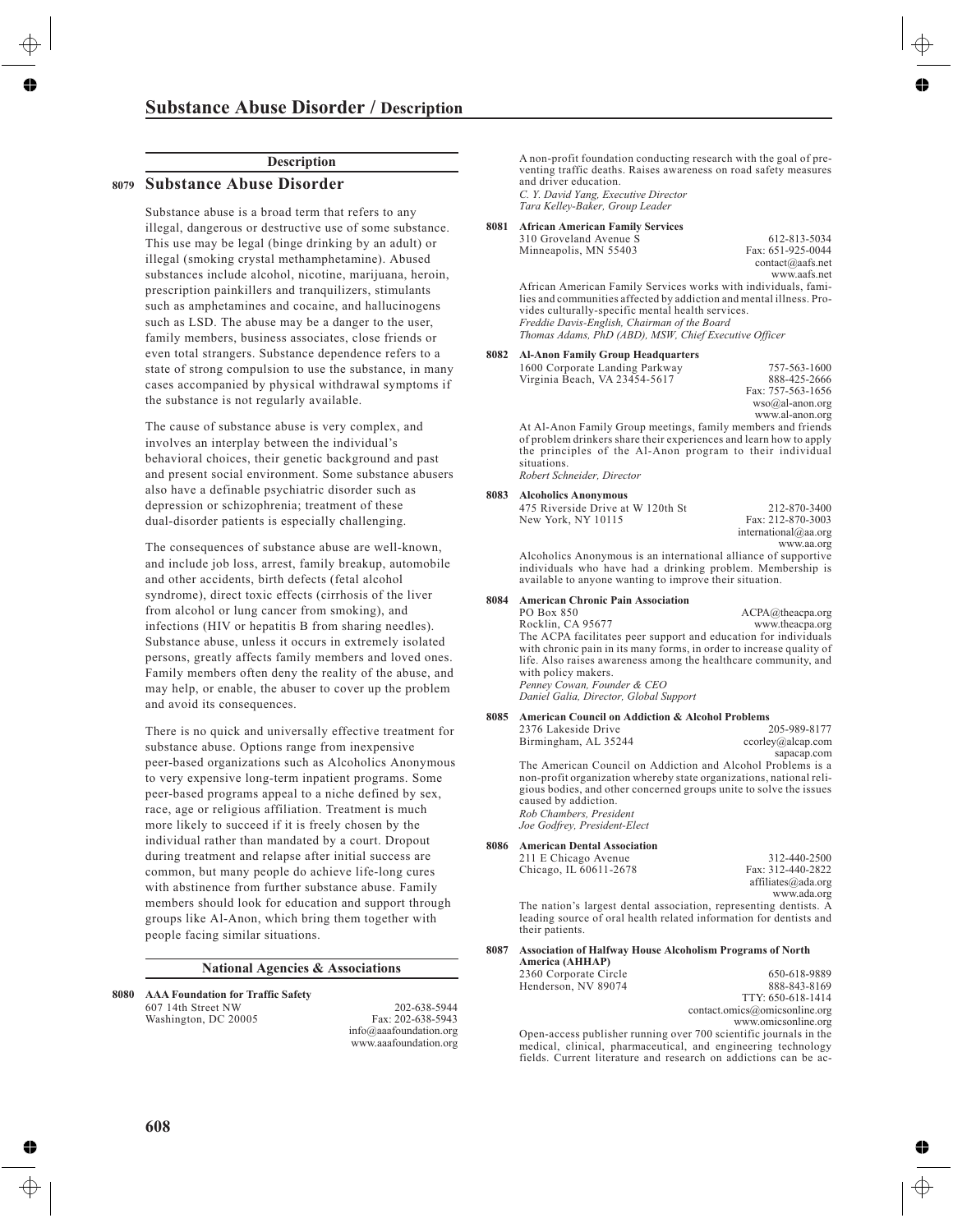### **Substance Abuse Disorder / Description**

### House

#### **Description** ning

### **Substance Abuse Disorder**

**Ant from**<br>Substance abuse is a broad term that refers to any  $\overline{1}$  ( $\overline{1}$ )  $\overline{1}$  dangerous or destructive use of some substance.

This use may be legal (binge drinking by an adult) or illegal (smoking crystal methamphetamine). Abused substances include alcohol, nicotine, marijuana, heroin, prescription painkillers and tranquilizers, stimulants such as amphetamines and cocaine, and hallucinogens such as LSD. The abuse may be a danger to the user, family members, business associates, close friends or even total strangers. Substance dependence refers to a state of strong compulsion to use the substance, in many cases accompanied by physical withdrawal symptoms if the substance is not regularly available.

The cause of substance abuse is very complex, and involves an interplay between the individual's behavioral choices, their genetic background and past and present social environment. Some substance abusers also have a definable psychiatric disorder such as depression or schizophrenia; treatment of these dual-disorder patients is especially challenging.

The consequences of substance abuse are well-known, and include job loss, arrest, family breakup, automobile and other accidents, birth defects (fetal alcohol syndrome), direct toxic effects (cirrhosis of the liver from alcohol or lung cancer from smoking), and infections (HIV or hepatitis B from sharing needles). Substance abuse, unless it occurs in extremely isolated persons, greatly affects family members and loved ones. Family members often deny the reality of the abuse, and may help, or enable, the abuser to cover up the problem and avoid its consequences.

There is no quick and universally effective treatment for substance abuse. Options range from inexpensive peer-based organizations such as Alcoholics Anonymous to very expensive long-term inpatient programs. Some peer-based programs appeal to a niche defined by sex, race, age or religious affiliation. Treatment is much more likely to succeed if it is freely chosen by the individual rather than mandated by a court. Dropout during treatment and relapse after initial success are common, but many people do achieve life-long cures with abstinence from further substance abuse. Family members should look for education and support through groups like Al-Anon, which bring them together with people facing similar situations.

#### **National Agencies & Associations**

**8080 AAA Foundation for Traffic Safety** 607 14th Street NW Washington, DC 20005

202-638-5944 Fax: 202-638-5943 info@aaafoundation.org www.aaafoundation.org A non-profit foundation conducting research with the goal of preventing traffic deaths. Raises awareness on road safety measures and driver education. *C. Y. David Yang, Executive Director*

*Tara Kelley-Baker, Group Leader*

#### **8081 African American Family Services**

310 Groveland Avenue S Minneapolis, MN 55403

612-813-5034 Fax: 651-925-0044 contact@aafs.net www.aafs.net

African American Family Services works with individuals, families and communities affected by addiction and mental illness. Provides culturally-specific mental health services. *Freddie Davis-English, Chairman of the Board Thomas Adams, PhD (ABD), MSW, Chief Executive Officer*

#### **8082 Al-Anon Family Group Headquarters**

| 1600 Corporate Landing Parkway                                     | 757-563-1600         |
|--------------------------------------------------------------------|----------------------|
| Virginia Beach, VA 23454-5617                                      | 888-425-2666         |
|                                                                    | Fax: 757-563-1656    |
|                                                                    | $wso(a)$ al-anon.org |
|                                                                    | www.al-anon.org      |
| At Al-Anon Family Group meetings, family members and friends       |                      |
| of problem drinkers share their experiences and learn how to apply |                      |
| the principles of the Al-Anon program to their individual          |                      |
| situations                                                         |                      |

*Robert Schneider, Director*

#### **8083 Alcoholics Anonymous**

| 475 Riverside Drive at W 120th St | 212-870-3400         |
|-----------------------------------|----------------------|
| New York, NY 10115                | Fax: 212-870-3003    |
|                                   | international@aa.org |

www.aa.org Alcoholics Anonymous is an international alliance of supportive individuals who have had a drinking problem. Membership is available to anyone wanting to improve their situation.

#### **8084 American Chronic Pain Association**

PO Box 850 Rocklin, CA 95677 ACPA@theacpa.org www.theacpa.org The ACPA facilitates peer support and education for individuals with chronic pain in its many forms, in order to increase quality of life. Also raises awareness among the healthcare community, and with policy makers. *Penney Cowan, Founder & CEO Daniel Galia, Director, Global Support*

#### **8085 American Council on Addiction & Alcohol Problems**

| 2376 Lakeside Drive                                                                                                                                                                                                                                                                         | 205-989-8177      |
|---------------------------------------------------------------------------------------------------------------------------------------------------------------------------------------------------------------------------------------------------------------------------------------------|-------------------|
| Birmingham, AL 35244                                                                                                                                                                                                                                                                        | ccorley@alcap.com |
|                                                                                                                                                                                                                                                                                             | sapacap.com       |
| The American Council on Addiction and Alcohol Problems is a<br>non-profit organization whereby state organizations, national reli-<br>gious bodies, and other concerned groups unite to solve the issues<br>caused by addiction.<br>Rob Chambers, President<br>Joe Godfrey, President-Elect |                   |
| <b>American Dental Association</b>                                                                                                                                                                                                                                                          |                   |

**8086 American Dental Association** 211 E Chicago Avenue Chicago, IL 60611-2678

312-440-2500 Fax: 312-440-2822 affiliates@ada.org www.ada.org

The nation's largest dental association, representing dentists. A leading source of oral health related information for dentists and their patients.

**8087 Association of Halfway House Alcoholism Programs of North**

| America (AHHAP)       |                               |
|-----------------------|-------------------------------|
| 2360 Corporate Circle | 650-618-9889                  |
| Henderson, NV 89074   | 888-843-8169                  |
|                       | TTY: 650-618-1414             |
|                       | contact.omics@omicsonline.org |

www.omicsonline.org

Open-access publisher running over 700 scientific journals in the medical, clinical, pharmaceutical, and engineering technology fields. Current literature and research on addictions can be ac-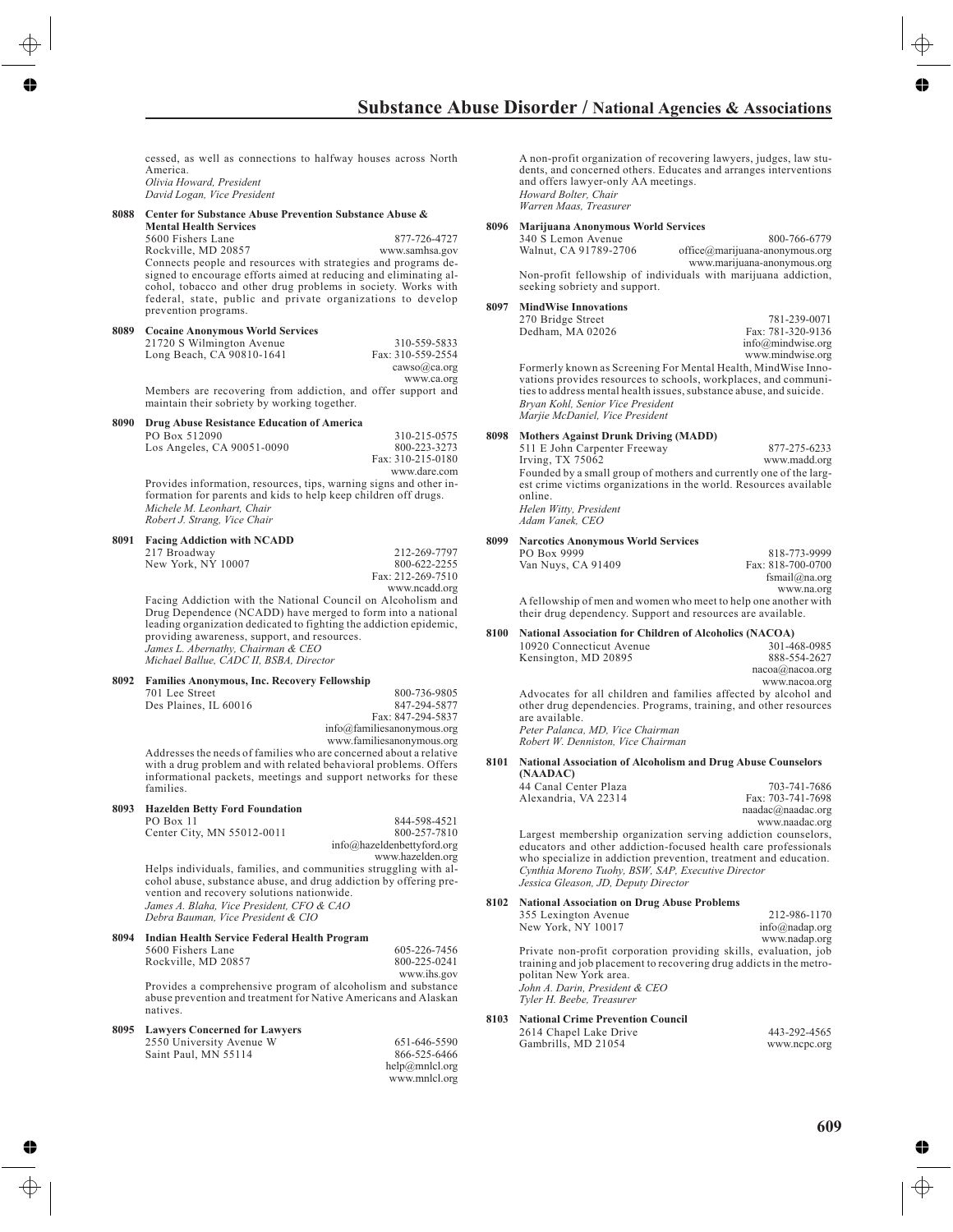|      | rey House                                                                                                                          |      |
|------|------------------------------------------------------------------------------------------------------------------------------------|------|
|      | cessed as well as connections to halfway houses across North                                                                       |      |
|      | America. III Y<br>Olivia Howard, President                                                                                         |      |
| .ont | David Logan, Vice President<br>HIL LIOIL                                                                                           |      |
| 8088 | Center for Substance Abuse Prevention Substance Abuse &<br>revio Mental Health Services                                            | 8096 |
|      | 5600 Fishers Lane<br>877-726-4727                                                                                                  |      |
|      | Rockville, MD 20857<br>www.samhsa.gov<br>Connects people and resources with strategies and programs de-                            |      |
|      | signed to encourage efforts aimed at reducing and eliminating al-                                                                  |      |
|      | cohol, tobacco and other drug problems in society. Works with<br>federal, state, public and private organizations to develop       |      |
|      | prevention programs.                                                                                                               | 8097 |
| 8089 | <b>Cocaine Anonymous World Services</b>                                                                                            |      |
|      | 21720 S Wilmington Avenue<br>310-559-5833<br>Long Beach, CA 90810-1641<br>Fax: 310-559-2554                                        |      |
|      | cawso(a)ca.org                                                                                                                     |      |
|      | www.ca.org<br>Members are recovering from addiction, and offer support and                                                         |      |
|      | maintain their sobriety by working together.                                                                                       |      |
| 8090 | Drug Abuse Resistance Education of America<br>PO Box 512090<br>310-215-0575                                                        | 8098 |
|      | Los Angeles, CA 90051-0090<br>800-223-3273                                                                                         |      |
|      | Fax: 310-215-0180<br>www.dare.com                                                                                                  |      |
|      | Provides information, resources, tips, warning signs and other in-                                                                 |      |
|      | formation for parents and kids to help keep children off drugs.<br>Michele M. Leonhart, Chair                                      |      |
|      | Robert J. Strang, Vice Chair                                                                                                       |      |
| 8091 | <b>Facing Addiction with NCADD</b>                                                                                                 | 8099 |
|      | 217 Broadway<br>212-269-7797<br>New York, NY 10007<br>800-622-2255                                                                 |      |
|      | Fax: 212-269-7510                                                                                                                  |      |
|      | www.ncadd.org<br>Facing Addiction with the National Council on Alcoholism and                                                      |      |
|      | Drug Dependence (NCADD) have merged to form into a national<br>leading organization dedicated to fighting the addiction epidemic,  |      |
|      | providing awareness, support, and resources.                                                                                       | 8100 |
|      | James L. Abernathy, Chairman & CEO<br>Michael Ballue, CADC II, BSBA, Director                                                      |      |
| 8092 | <b>Families Anonymous, Inc. Recovery Fellowship</b>                                                                                |      |
|      | 701 Lee Street<br>800-736-9805                                                                                                     |      |
|      | Des Plaines, IL 60016<br>847-294-5877<br>Fax: 847-294-5837                                                                         |      |
|      | info@familiesa nonymous.org<br>www.familiesanonymous.org                                                                           |      |
|      | Addresses the needs of families who are concerned about a relative                                                                 | 8101 |
|      | with a drug problem and with related behavioral problems. Offers<br>informational packets, meetings and support networks for these |      |
|      | families.                                                                                                                          |      |
| 8093 | <b>Hazelden Betty Ford Foundation</b><br>844-598-4521                                                                              |      |
|      | PO Box 11<br>Center City, MN 55012-0011<br>800-257-7810                                                                            |      |
|      | info@hazeldenbettyford.org<br>www.hazelden.org                                                                                     |      |
|      | Helps individuals, families, and communities struggling with al-                                                                   |      |
|      | cohol abuse, substance abuse, and drug addiction by offering pre-<br>vention and recovery solutions nationwide.                    |      |
|      | James A. Blaha, Vice President, CFO & CAO<br>Debra Bauman, Vice President & CIO                                                    | 8102 |
| 8094 | <b>Indian Health Service Federal Health Program</b>                                                                                |      |
|      | 5600 Fishers Lane<br>605-226-7456                                                                                                  |      |
|      | Rockville, MD 20857<br>800-225-0241<br>www.ihs.gov                                                                                 |      |
|      | Provides a comprehensive program of alcoholism and substance                                                                       |      |
|      | abuse prevention and treatment for Native Americans and Alaskan<br>natives.                                                        |      |
| 8095 | <b>Lawyers Concerned for Lawyers</b>                                                                                               | 8103 |
|      | 2550 University Avenue W<br>651-646-5590                                                                                           |      |

| 651-646-5590   |  |
|----------------|--|
| 866-525-6466   |  |
| help@mnlcl.org |  |
| www.mnlcl.org  |  |

Saint Paul, MN 55114

A non-profit organization of recovering lawyers, judges, law students, and concerned others. Educates and arranges interventions and offers lawyer-only AA meetings. *Howard Bolter, Chair Warren Maas, Treasurer*

#### **8096 Marijuana Anonymous World Services**

340 S Lemon Avenue Walnut, CA 91789-2706 800-766-6779 office@marijuana-anonymous.org www.marijuana-anonymous.org

Non-profit fellowship of individuals with marijuana addiction, seeking sobriety and support.

#### **8097 MindWise Innovations**

| 270 Bridge Street | 781-239-0071      |
|-------------------|-------------------|
| Dedham, MA 02026  | Fax: 781-320-9136 |
|                   | info@mindwise.org |
|                   | www.mindwise.org  |

Formerly known as Screening For Mental Health, MindWise Innovations provides resources to schools, workplaces, and communities to address mental health issues, substance abuse, and suicide. *Bryan Kohl, Senior Vice President Marjie McDaniel, Vice President*

#### **Mothers Against Drunk Driving (MADD)**

511 E John Carpenter Freeway Irving, TX 75062 877-275-6233 www.madd.org Founded by a small group of mothers and currently one of the largest crime victims organizations in the world. Resources available online. *Helen Witty, President Adam Vanek, CEO*

#### **8099 Narcotics Anonymous World Services**

| PO Box 9999                                                     | 818-773-9999      |  |
|-----------------------------------------------------------------|-------------------|--|
| Van Nuys, CA 91409                                              | Fax: 818-700-0700 |  |
|                                                                 | fsmail $@$ na.org |  |
|                                                                 | www.na.org        |  |
| A fellowship of men and women who meet to help one another with |                   |  |
| their drug dependency. Support and resources are available.     |                   |  |

#### **National Association for Children of Alcoholics (NACOA)**

10920 Connecticut Avenue Kensington, MD 20895 301-468-0985 888-554-2627

| nacoa(a)nacoa.org |               |  |  |
|-------------------|---------------|--|--|
|                   | www.nacoa.org |  |  |
|                   |               |  |  |

Advocates for all children and families affected by alcohol and other drug dependencies. Programs, training, and other resources are available. *Peter Palanca, MD, Vice Chairman*

*Robert W. Denniston, Vice Chairman*

#### **8101 National Association of Alcoholism and Drug Abuse Counselors**

| (NAADAC)              |                   |
|-----------------------|-------------------|
| 44 Canal Center Plaza | 703-741-7686      |
| Alexandria, VA 22314  | Fax: 703-741-7698 |
|                       | $1 \cap 1$        |

naadac@naadac.org www.naadac.org

Largest membership organization serving addiction counselors, educators and other addiction-focused health care professionals who specialize in addiction prevention, treatment and education. *Cynthia Moreno Tuohy, BSW, SAP, Executive Director Jessica Gleason, JD, Deputy Director*

#### **8102 National Association on Drug Abuse Problems**

| 355 Lexington Avenue                                                                          | 212-986-1170   |
|-----------------------------------------------------------------------------------------------|----------------|
| New York, NY 10017                                                                            | info@nadap.org |
|                                                                                               | www.nadap.org  |
| Private non-profit corporation providing skills, evaluation, job                              |                |
| training and job placement to recovering drug addicts in the metro-<br>politan New York area. |                |
| John A. Darin, President & CEO                                                                |                |
| Tyler H. Beebe, Treasurer                                                                     |                |
|                                                                                               |                |

#### **National Crime Prevention Council**

| 2614 Chapel Lake Drive | 443-292-4565 |
|------------------------|--------------|
| Gambrills, MD 21054    | www.ncpc.org |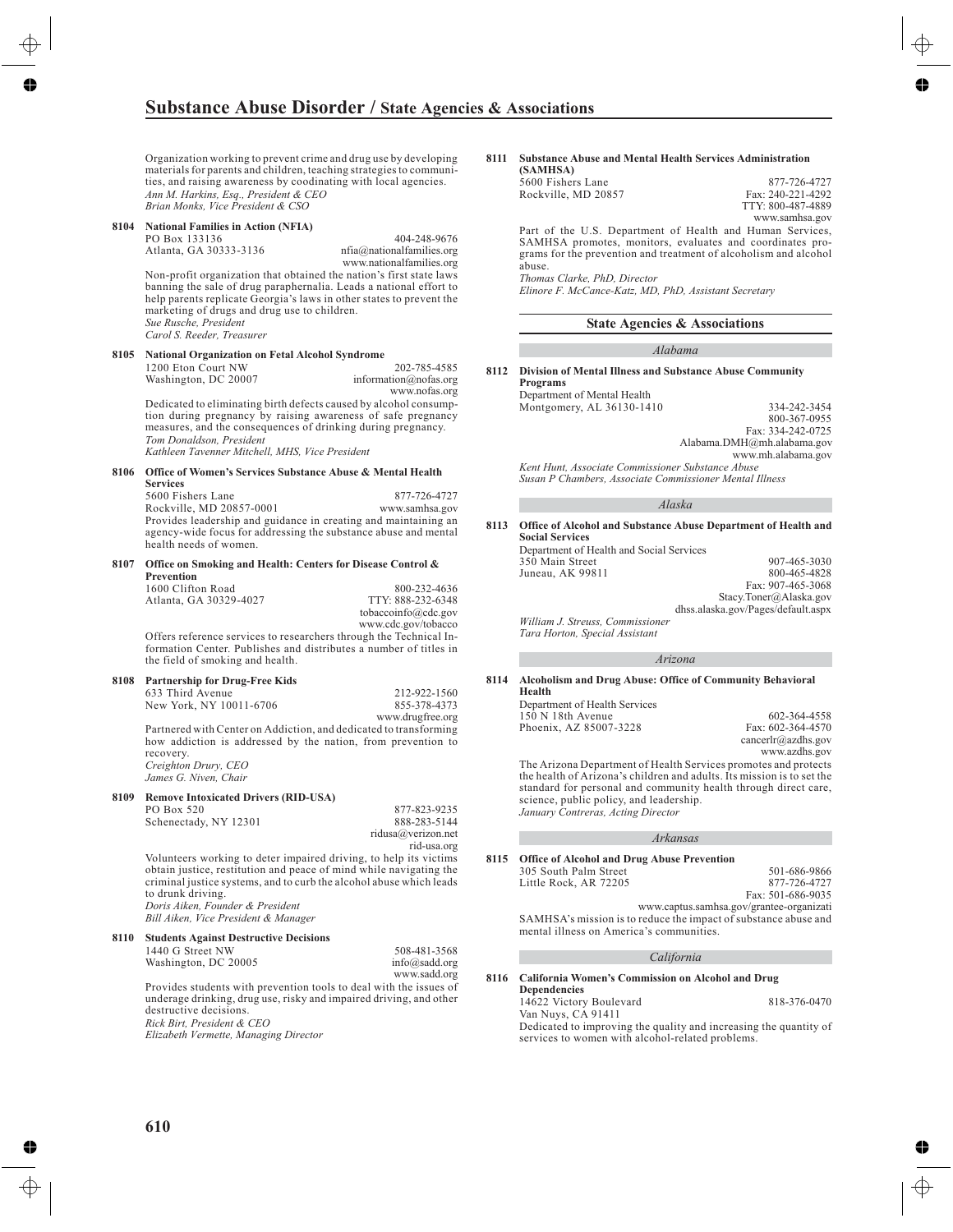# **Substance Abuse Disorder / State Agencies & Associations**<br>rev House

Organization working to prevent crime and drug use by developing materials for parents and children, teaching strategies to communities, and raising awareness by coodinating with local agencies. *Ann M. Harkins, Esq., President & CEO Brian Monks, Vice President & CSO*

## **8104 National Families in Action (NFIA)** PO Box 133136

Atlanta, GA 30333-3136

404-248-9676 nfia@nationalfamilies.org www.nationalfamilies.org

Non-profit organization that obtained the nation's first state laws banning the sale of drug paraphernalia. Leads a national effort to help parents replicate Georgia's laws in other states to prevent the marketing of drugs and drug use to children. *Sue Rusche, President*

*Carol S. Reeder, Treasurer*

#### **8105 National Organization on Fetal Alcohol Syndrome** 1200 Eton Court NW 202-785-4585

Washington, DC 20007 information@nofas.org www.nofas.org

Dedicated to eliminating birth defects caused by alcohol consumption during pregnancy by raising awareness of safe pregnancy measures, and the consequences of drinking during pregnancy. *Tom Donaldson, President Kathleen Tavenner Mitchell, MHS, Vice President*

#### **8106 Office of Women's Services Substance Abuse & Mental Health Services**

5600 Fishers Lane Rockville, MD 20857-0001 877-726-4727 www.samhsa.gov Provides leadership and guidance in creating and maintaining an agency-wide focus for addressing the substance abuse and mental health needs of women.

#### **8107 Office on Smoking and Health: Centers for Disease Control & Prevention**

| 1600 Clifton Road      | 800-232-4636        |
|------------------------|---------------------|
| Atlanta. GA 30329-4027 | TTY: 888-232-6348   |
|                        | tobaccoinfo@cdc.gov |
|                        | www.cdc.gov/tobacco |

Offers reference services to researchers through the Technical Information Center. Publishes and distributes a number of titles in the field of smoking and health.

#### **8108 Partnership for Drug-Free Kids**

| 633 Third Avenue        | 212-922-1560     |
|-------------------------|------------------|
| New York, NY 10011-6706 | 855-378-4373     |
|                         | www.drugfree.org |

Partnered with Center on Addiction, and dedicated to transforming how addiction is addressed by the nation, from prevention to recovery. *Creighton Drury, CEO*

*James G. Niven, Chair*

#### **8109 Remove Intoxicated Drivers (RID-USA)**

PO Box 520 Schenectady, NY 12301

877-823-9235 888-283-5144 ridusa@verizon.net rid-usa.org

> 508-481-3568 info@sadd.org

Volunteers working to deter impaired driving, to help its victims obtain justice, restitution and peace of mind while navigating the criminal justice systems, and to curb the alcohol abuse which leads to drunk driving. *Doris Aiken, Founder & President Bill Aiken, Vice President & Manager*

#### **8110 Students Against Destructive Decisions** 1440 G Street NW

Washington, DC 20005 www.sadd.org Provides students with prevention tools to deal with the issues of underage drinking, drug use, risky and impaired driving, and other destructive decisions. *Rick Birt, President & CEO Elizabeth Vermette, Managing Director*

#### **8111 Substance Abuse and Mental Health Services Administration (SAMHSA)**

| 101311110111        |                   |
|---------------------|-------------------|
| 5600 Fishers Lane   | 877-726-4727      |
| Rockville, MD 20857 | Fax: 240-221-4292 |
|                     | TTY: 800-487-4889 |
|                     | www.samhsa.gov    |

Part of the U.S. Department of Health and Human Services, SAMHSA promotes, monitors, evaluates and coordinates programs for the prevention and treatment of alcoholism and alcohol abuse.

*Thomas Clarke, PhD, Director Elinore F. McCance-Katz, MD, PhD, Assistant Secretary*

#### **State Agencies & Associations**

#### *Alabama*

**8112 Division of Mental Illness and Substance Abuse Community Programs**

> Department of Mental Health Montgomery, AL 36130-1410 334-242-3454

800-367-0955 Fax: 334-242-0725 Alabama.DMH@mh.alabama.gov www.mh.alabama.gov

*Kent Hunt, Associate Commissioner Substance Abuse Susan P Chambers, Associate Commissioner Mental Illness*

#### *Alaska*

#### **8113 Office of Alcohol and Substance Abuse Department of Health and Social Services**

Department of Health and Social Services 350 Main Street Juneau, AK 99811 907-465-3030 800-465-4828 Fax: 907-465-3068 Stacy.Toner@Alaska.gov dhss.alaska.gov/Pages/default.aspx

*William J. Streuss, Commissioner Tara Horton, Special Assistant*

#### *Arizona*

#### **8114 Alcoholism and Drug Abuse: Office of Community Behavioral Health**

Department of Health Services 150 N 18th Avenue Phoenix, AZ 85007-3228

602-364-4558 Fax: 602-364-4570 cancerlr@azdhs.gov www.azdhs.gov

The Arizona Department of Health Services promotes and protects the health of Arizona's children and adults. Its mission is to set the standard for personal and community health through direct care, science, public policy, and leadership. *January Contreras, Acting Director*

#### *Arkansas*

#### **8115 Office of Alcohol and Drug Abuse Prevention**  $305 S<sub>01</sub>$

mental illness on America's communities.

| Office of Alcohol and Drug Abuse Prevention |                                                                 |
|---------------------------------------------|-----------------------------------------------------------------|
| 305 South Palm Street                       | 501-686-9866                                                    |
| Little Rock, AR 72205                       | 877-726-4727                                                    |
|                                             | Fax: 501-686-9035                                               |
|                                             | www.captus.samhsa.gov/grantee-organizati                        |
|                                             | SAMHSA's mission is to reduce the impact of substance abuse and |

*California*

#### **8116 California Women's Commission on Alcohol and Drug Dependencies**

14622 Victory Boulevard

818-376-0470

Van Nuys, CA 91411 Dedicated to improving the quality and increasing the quantity of services to women with alcohol-related problems.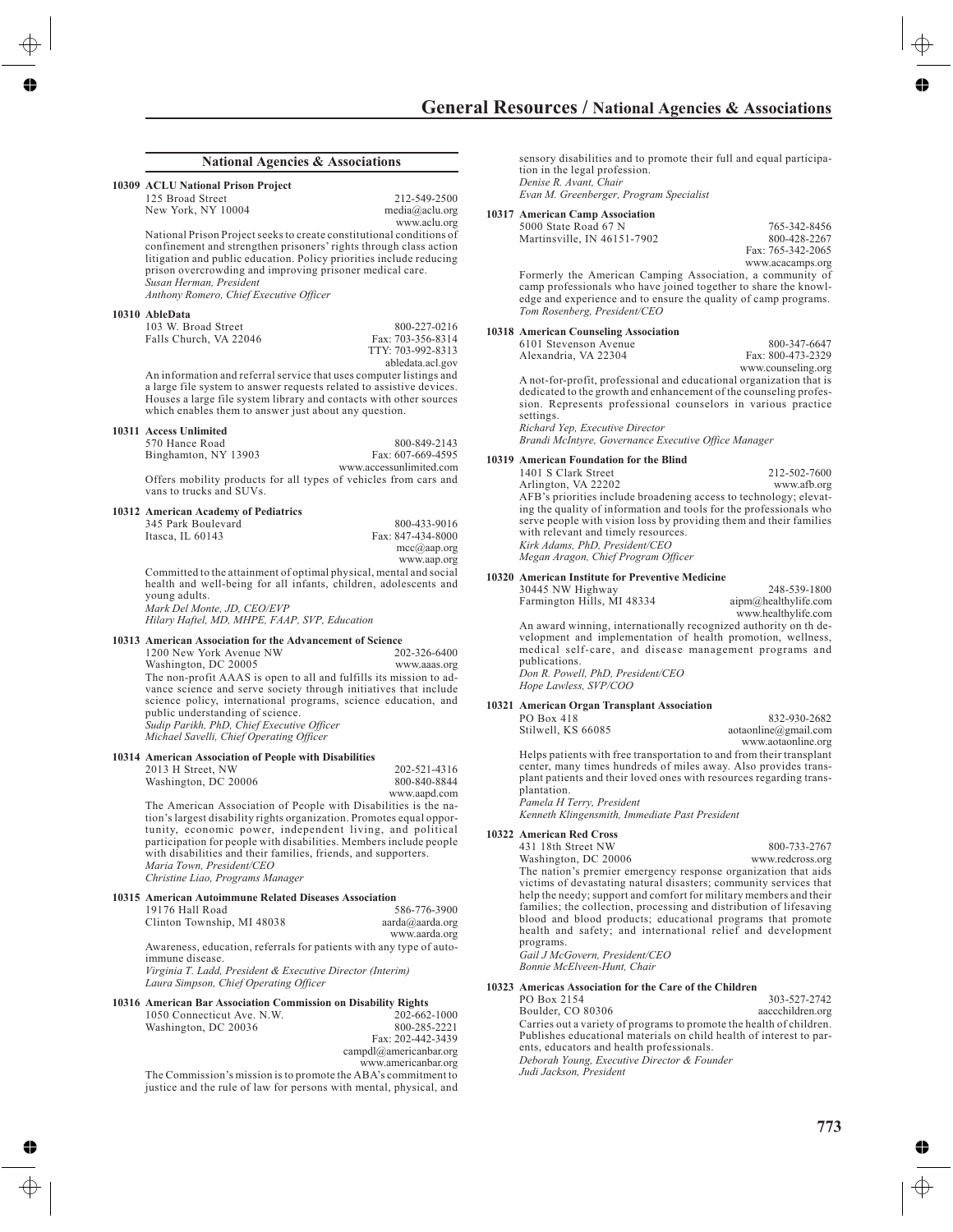## rev House

#### **National Agencies & Associations**

#### **10309 ACLU National Prison Project**

125 Broad Street New York, NY 10004

media@aclu.org www.aclu.org National Prison Project seeks to create constitutional conditions of confinement and strengthen prisoners' rights through class action litigation and public education. Policy priorities include reducing prison overcrowding and improving prisoner medical care.

*Susan Herman, President*

*Anthony Romero, Chief Executive Officer*

#### **10310 AbleData**

| 103 W. Broad Street    |  |
|------------------------|--|
| Falls Church, VA 22046 |  |
|                        |  |

Fax: 703-356-8314 TTY: 703-992-8313 abledata.acl.gov

800-227-0216

212-549-2500

An information and referral service that uses computer listings and a large file system to answer requests related to assistive devices. Houses a large file system library and contacts with other sources which enables them to answer just about any question.

#### **10311 Access Unlimited**

| 570 Hance Road       | 800-849-2143                                                     |
|----------------------|------------------------------------------------------------------|
| Binghamton, NY 13903 | Fax: 607-669-4595                                                |
|                      | www.accessunlimited.com                                          |
|                      | Offers mobility products for all types of vehicles from cars and |

Offers mobility products for all types of vehicles from cars and vans to trucks and SUVs.

#### **10312 American Academy of Pediatrics**

| 345 Park Boulevard | 800-433-9016          |
|--------------------|-----------------------|
| Itasca. IL $60143$ | Fax: 847-434-8000     |
|                    | $mcc(\alpha)$ aap.org |
|                    | www.aap.org           |

Committed to the attainment of optimal physical, mental and social health and well-being for all infants, children, adolescents and young adults.

*Mark Del Monte, JD, CEO/EVP Hilary Haftel, MD, MHPE, FAAP, SVP, Education*

#### **10313 American Association for the Advancement of Science**

1200 New York Avenue NW Washington, DC 20005 202-326-6400 www.aaas.org The non-profit AAAS is open to all and fulfills its mission to advance science and serve society through initiatives that include science policy, international programs, science education, and public understanding of science. *Sudip Parikh, PhD, Chief Executive Officer Michael Savelli, Chief Operating Officer*

#### **10314 American Association of People with Disabilities**

| 2013 H Street, NW    | 202-521-4316 |
|----------------------|--------------|
| Washington, DC 20006 | 800-840-8844 |
|                      | www.aapd.com |

The American Association of People with Disabilities is the nation's largest disability rights organization. Promotes equal opportunity, economic power, independent living, and political participation for people with disabilities. Members include people with disabilities and their families, friends, and supporters. *Maria Town, President/CEO Christine Liao, Programs Manager*

#### **10315 American Autoimmune Related Diseases Association**

| 19176 Hall Road            |  |  |  |  | 586-776-3900    |
|----------------------------|--|--|--|--|-----------------|
| Clinton Township, MI 48038 |  |  |  |  | aarda@aarda.org |
|                            |  |  |  |  | www.aarda.org   |
|                            |  |  |  |  |                 |

Awareness, education, referrals for patients with any type of autoimmune disease. *Virginia T. Ladd, President & Executive Director (Interim)*

*Laura Simpson, Chief Operating Officer*

#### **10316 American Bar Association Commission on Disability Rights**

| 1050 Connecticut Ave. N.W.                                     | 202-662-1000           |
|----------------------------------------------------------------|------------------------|
| Washington, DC 20036                                           | 800-285-2221           |
|                                                                | Fax: 202-442-3439      |
|                                                                | campdl@americanbar.org |
|                                                                | www.americanbar.org    |
| The Commission's mission is to promote the ABA's commitment to |                        |

The Commission's mission is to promote the ABA's commitment to justice and the rule of law for persons with mental, physical, and

sensory disabilities and to promote their full and equal participation in the legal profession. *Denise R. Avant, Chair Evan M. Greenberger, Program Specialist*

#### **10317 American Camp Association**

| 5000 State Road 67 N        | 765-342-8456      |
|-----------------------------|-------------------|
| Martinsville, IN 46151-7902 | 800-428-2267      |
|                             | Fax: 765-342-2065 |

www.acacamps.org Formerly the American Camping Association, a community of camp professionals who have joined together to share the knowledge and experience and to ensure the quality of camp programs. *Tom Rosenberg, President/CEO*

#### **10318 American Counseling Association**

| 6101 Stevenson Avenue                                               | 800-347-6647       |
|---------------------------------------------------------------------|--------------------|
| Alexandria. VA 22304                                                | Fax: 800-473-2329  |
|                                                                     | www.counseling.org |
| A not-for-profit, professional and educational organization that is |                    |
| dedicated to the growth and enhancement of the counseling profes-   |                    |
| sion. Represents professional counselors in various practice        |                    |

sion. Represents professional counselors in various practice settings. *Richard Yep, Executive Director*

*Brandi McIntyre, Governance Executive Office Manager*

#### **10319 American Foundation for the Blind**

1401 S Clark Street Arlington, VA 22202 212-502-7600 www.afb.org AFB's priorities include broadening access to technology; elevating the quality of information and tools for the professionals who serve people with vision loss by providing them and their families with relevant and timely resources. *Kirk Adams, PhD, President/CEO Megan Aragon, Chief Program Officer*

#### **10320 American Institute for Preventive Medicine** 30445 NW Highway

Farmington Hills,

| 'ay      |  | 248-539-1800         |
|----------|--|----------------------|
| MI 48334 |  | aipm@healthylife.com |
|          |  | www.healthylife.com  |
|          |  |                      |

An award winning, internationally recognized authority on th development and implementation of health promotion, wellness, medical self-care, and disease management programs and publications. *Don R. Powell, PhD, President/CEO Hope Lawless, SVP/COO*

#### **10321 American Organ Transplant Association**

| PO Box 418                                                                                                                                                                                                                    | 832-930-2682            |
|-------------------------------------------------------------------------------------------------------------------------------------------------------------------------------------------------------------------------------|-------------------------|
| Stilwell, KS 66085                                                                                                                                                                                                            | aot a online @gmail.com |
|                                                                                                                                                                                                                               | www.aotaonline.org      |
| Helps patients with free transportation to and from their transplant<br>center, many times hundreds of miles away. Also provides trans-<br>plant patients and their loved ones with resources regarding trans-<br>plantation. |                         |
| Pamela H Terry, President                                                                                                                                                                                                     |                         |
|                                                                                                                                                                                                                               |                         |

*Kenneth Klingensmith, Immediate Past President*

#### **10322 American Red Cross**

431 18th Street NW Washington, DC 20006 800-733-2767 www.redcross.org The nation's premier emergency response organization that aids victims of devastating natural disasters; community services that help the needy; support and comfort for military members and their families; the collection, processing and distribution of lifesaving blood and blood products; educational programs that promote health and safety; and international relief and development programs. *Gail J McGovern, President/CEO*

*Bonnie McElveen-Hunt, Chair*

#### **10323 Americas Association for the Care of the Children**

PO Box 2154 Boulder, CO 80306 303-527-2742 aaccchildren.org Carries out a variety of programs to promote the health of children. Publishes educational materials on child health of interest to parents, educators and health professionals. *Deborah Young, Executive Director & Founder Judi Jackson, President*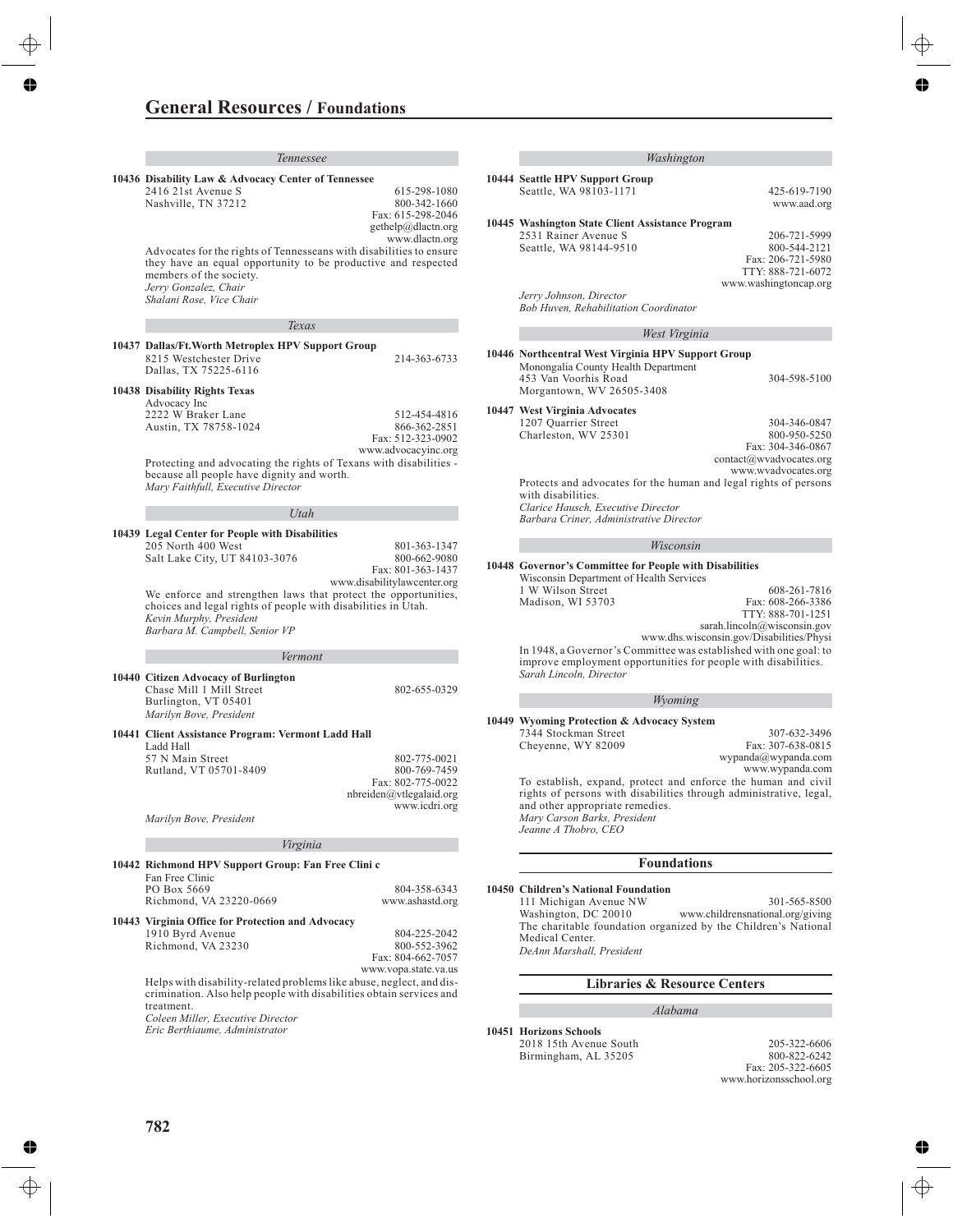| <b>General Resources / Foundations</b>                                                                                                                                                                               |                                                                  |  |                                                                                                                                                                        |                                                                                                                   |
|----------------------------------------------------------------------------------------------------------------------------------------------------------------------------------------------------------------------|------------------------------------------------------------------|--|------------------------------------------------------------------------------------------------------------------------------------------------------------------------|-------------------------------------------------------------------------------------------------------------------|
| rey House                                                                                                                                                                                                            |                                                                  |  |                                                                                                                                                                        |                                                                                                                   |
| Tennessee<br>ishing                                                                                                                                                                                                  |                                                                  |  | Washington                                                                                                                                                             |                                                                                                                   |
| 10436 Disability Law & Advocacy Center of Tennessee                                                                                                                                                                  |                                                                  |  | 10444 Seattle HPV Support Group                                                                                                                                        |                                                                                                                   |
| 2416 21st Avenue S<br><b>OLLNashville, CIN 37212</b>                                                                                                                                                                 | 615-298-1080<br>800-342-1660<br>Fax: 615-298-2046                |  | Seattle, WA 98103-1171                                                                                                                                                 | 425-619-7190<br>www.aad.org                                                                                       |
| <b>Previous Edition</b>                                                                                                                                                                                              | gethelp@dlactn.org                                               |  | 10445 Washington State Client Assistance Program                                                                                                                       |                                                                                                                   |
| Advocates for the rights of Tennesseans with disabilities to ensure<br>they have an equal opportunity to be productive and respected<br>members of the society.<br>Jerry Gonzalez, Chair<br>Shalani Rose, Vice Chair | www.dlactn.org                                                   |  | 2531 Rainer Avenue S<br>Seattle, WA 98144-9510<br>Jerry Johnson, Director                                                                                              | 206-721-5999<br>800-544-2121<br>Fax: 206-721-5980<br>TTY: 888-721-6072<br>www.washingtoncap.org                   |
|                                                                                                                                                                                                                      |                                                                  |  | Bob Huven, Rehabilitation Coordinator                                                                                                                                  |                                                                                                                   |
| Texas                                                                                                                                                                                                                |                                                                  |  | West Virginia                                                                                                                                                          |                                                                                                                   |
| 10437 Dallas/Ft.Worth Metroplex HPV Support Group<br>8215 Westchester Drive<br>Dallas, TX 75225-6116                                                                                                                 | 214-363-6733                                                     |  | 10446 Northcentral West Virginia HPV Support Group<br>Monongalia County Health Department                                                                              |                                                                                                                   |
| 10438 Disability Rights Texas<br>Advocacy Inc                                                                                                                                                                        |                                                                  |  | 453 Van Voorhis Road<br>Morgantown, WV 26505-3408                                                                                                                      | 304-598-5100                                                                                                      |
| 2222 W Braker Lane<br>Austin, TX 78758-1024                                                                                                                                                                          | 512-454-4816<br>866-362-2851<br>Fax: 512-323-0902                |  | 10447 West Virginia Advocates<br>1207 Quarrier Street<br>Charleston, WV 25301                                                                                          | 304-346-0847<br>800-950-5250<br>Fax: 304-346-0867                                                                 |
| Protecting and advocating the rights of Texans with disabilities -<br>because all people have dignity and worth.<br>Mary Faithfull, Executive Director                                                               | www.advocacyinc.org                                              |  | Protects and advocates for the human and legal rights of persons<br>with disabilities.                                                                                 | contact@wvadvocates.org<br>www.wvadvocates.org                                                                    |
| Utah                                                                                                                                                                                                                 |                                                                  |  | Clarice Hausch, Executive Director<br>Barbara Criner, Administrative Director                                                                                          |                                                                                                                   |
| 10439 Legal Center for People with Disabilities<br>205 North 400 West                                                                                                                                                | 801-363-1347                                                     |  | Wisconsin                                                                                                                                                              |                                                                                                                   |
| Salt Lake City, UT 84103-3076<br>We enforce and strengthen laws that protect the opportunities,                                                                                                                      | 800-662-9080<br>Fax: 801-363-1437<br>www.disabilitylawcenter.org |  | 10448 Governor's Committee for People with Disabilities<br>Wisconsin Department of Health Services<br>1 W Wilson Street                                                | 608-261-7816                                                                                                      |
| choices and legal rights of people with disabilities in Utah.<br>Kevin Murphy, President<br>Barbara M. Campbell, Senior VP                                                                                           |                                                                  |  | Madison, WI 53703                                                                                                                                                      | Fax: 608-266-3386<br>TTY: 888-701-1251<br>sarah.lincoln@wisconsin.gov<br>www.dhs.wisconsin.gov/Disabilities/Physi |
| Vermont                                                                                                                                                                                                              |                                                                  |  | In 1948, a Governor's Committee was established with one goal: to<br>improve employment opportunities for people with disabilities.                                    |                                                                                                                   |
| 10440 Citizen Advocacy of Burlington                                                                                                                                                                                 |                                                                  |  | Sarah Lincoln, Director                                                                                                                                                |                                                                                                                   |
| Chase Mill 1 Mill Street<br>Burlington, VT 05401<br>Marilyn Bove, President                                                                                                                                          | 802-655-0329                                                     |  | Wyoming                                                                                                                                                                |                                                                                                                   |
| 10441 Client Assistance Program: Vermont Ladd Hall                                                                                                                                                                   |                                                                  |  | 10449 Wyoming Protection & Advocacy System<br>7344 Stockman Street                                                                                                     | 307-632-3496                                                                                                      |
| Ladd Hall<br>57 N Main Street                                                                                                                                                                                        | 802-775-0021<br>800-769-7459                                     |  | Cheyenne, WY 82009                                                                                                                                                     | Fax: 307-638-0815<br>wypanda@wypanda.com<br>www.wypanda.com                                                       |
| Rutland, VT 05701-8409                                                                                                                                                                                               | Fax: 802-775-0022<br>nbreiden@vtlegalaid.org<br>www.icdri.org    |  | To establish, expand, protect and enforce the human and civil<br>rights of persons with disabilities through administrative, legal,<br>and other appropriate remedies. |                                                                                                                   |
| Marilyn Bove, President                                                                                                                                                                                              |                                                                  |  | Mary Carson Barks, President<br>Jeanne A Thobro, CEO                                                                                                                   |                                                                                                                   |
| Virginia                                                                                                                                                                                                             |                                                                  |  |                                                                                                                                                                        |                                                                                                                   |
| 10442 Richmond HPV Support Group: Fan Free Clini c                                                                                                                                                                   |                                                                  |  | <b>Foundations</b>                                                                                                                                                     |                                                                                                                   |
| Fan Free Clinic<br>PO Box 5669<br>Richmond, VA 23220-0669                                                                                                                                                            | 804-358-6343<br>www.ashastd.org                                  |  | 10450 Children's National Foundation<br>111 Michigan Avenue NW                                                                                                         | 301-565-8500                                                                                                      |
| 10443 Virginia Office for Protection and Advocacy<br>1910 Byrd Avenue<br>Richmond, VA 23230                                                                                                                          | 804-225-2042<br>800-552-3962<br>Fax: 804-662-7057                |  | Washington, DC 20010<br>The charitable foundation organized by the Children's National<br>Medical Center.<br>DeAnn Marshall, President                                 | www.childrensnational.org/giving                                                                                  |
|                                                                                                                                                                                                                      | www.vopa.state.va.us                                             |  |                                                                                                                                                                        |                                                                                                                   |
| Helps with disability-related problems like abuse, neglect, and dis-<br>crimination. Also help people with disabilities obtain services and                                                                          |                                                                  |  | <b>Libraries &amp; Resource Centers</b>                                                                                                                                |                                                                                                                   |
| treatment.<br>Coleen Miller, Executive Director                                                                                                                                                                      |                                                                  |  | Alabama                                                                                                                                                                |                                                                                                                   |
| Eric Berthiaume, Administrator                                                                                                                                                                                       |                                                                  |  | 10451 Horizons Schools                                                                                                                                                 |                                                                                                                   |

2018 15th Avenue South Birmingham, AL 35205

205-322-6606 800-822-6242 Fax: 205-322-6605 www.horizonsschool.org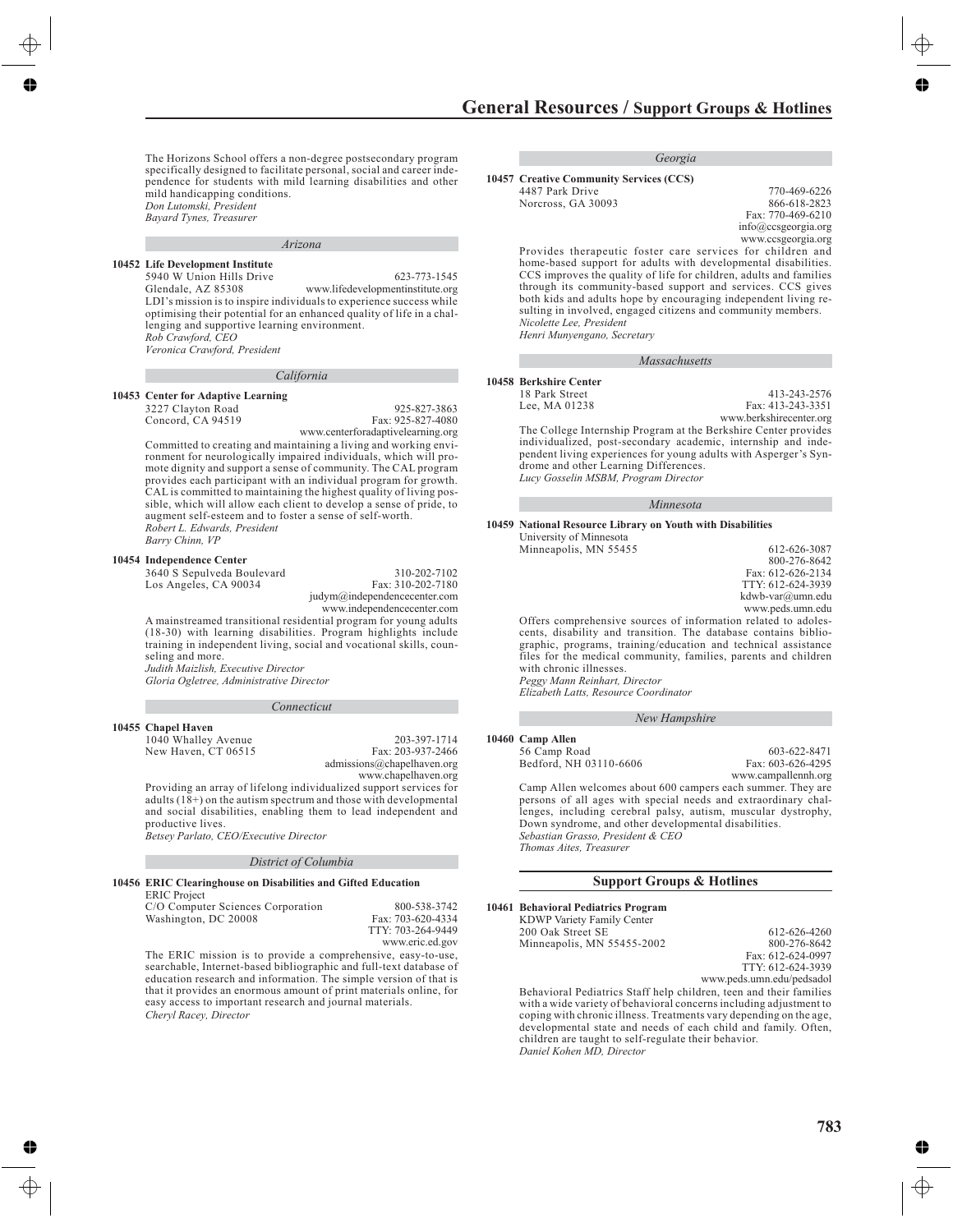The Horizons School offers a non-degree postsecondary program specifically designed to facilitate personal, social and career independence for students with mild learning disabilities and other mild handicapping conditions. *Don Lutomski, President*

*Bayard Tynes, Treasurer*<br>**Previous Edition** 

rey House

*Arizona*

#### **10452 Life Development Institute**

5940 W Union Hills Drive Glendale, AZ 85308 623-773-1545 www.lifedevelopmentinstitute.org LDI's mission is to inspire individuals to experience success while optimising their potential for an enhanced quality of life in a challenging and supportive learning environment. *Rob Crawford, CEO*

*Veronica Crawford, President*

#### *California*

#### **10453 Center for Adaptive Learning**

3227 Clayton Road Concord, CA 94519 925-827-3863 Fax: 925-827-4080 www.centerforadaptivelearning.org

Committed to creating and maintaining a living and working environment for neurologically impaired individuals, which will promote dignity and support a sense of community. The CAL program provides each participant with an individual program for growth. CAL is committed to maintaining the highest quality of living possible, which will allow each client to develop a sense of pride, to augment self-esteem and to foster a sense of self-worth. *Robert L. Edwards, President Barry Chinn, VP*

#### **10454 Independence Center**

3640 S Sepulveda Boulevard Los Angeles, CA 90034

310-202-7102 Fax: 310-202-7180 judym@independencecenter.com www.independencecenter.com

A mainstreamed transitional residential program for young adults (18-30) with learning disabilities. Program highlights include training in independent living, social and vocational skills, counseling and more.

*Judith Maizlish, Executive Director Gloria Ogletree, Administrative Director*

#### *Connecticut*

#### **10455 Chapel Haven**

1040 Whalley Avenue New Haven, CT 06515

203-397-1714 Fax: 203-937-2466 admissions@chapelhaven.org www.chapelhaven.org

Providing an array of lifelong individualized support services for

adults  $(18+)$  on the autism spectrum and those with developmental and social disabilities, enabling them to lead independent and productive lives.

*Betsey Parlato, CEO/Executive Director*

#### *District of Columbia*

**10456 ERIC Clearinghouse on Disabilities and Gifted Education** ERIC Project

C/O Computer Sciences Corporation Washington, DC 20008

800-538-3742 Fax: 703-620-4334 TTY: 703-264-9449 www.eric.ed.gov

The ERIC mission is to provide a comprehensive, easy-to-use, searchable, Internet-based bibliographic and full-text database of education research and information. The simple version of that is that it provides an enormous amount of print materials online, for easy access to important research and journal materials. *Cheryl Racey, Director*

*Georgia*

- **10457 Creative Community Services (CCS)** 4487 Park Drive
	- Norcross, GA 30093

770-469-6226 866-618-2823 Fax: 770-469-6210 info@ccsgeorgia.org www.ccsgeorgia.org

> 413-243-2576 Fax: 413-243-3351

Provides therapeutic foster care services for children and home-based support for adults with developmental disabilities. CCS improves the quality of life for children, adults and families through its community-based support and services. CCS gives both kids and adults hope by encouraging independent living resulting in involved, engaged citizens and community members. *Nicolette Lee, President*

*Massachusetts*

*Henri Munyengano, Secretary*

**10458 Berkshire Center** 18 Park Street

Lee, MA 01238

www.berkshirecenter.org The College Internship Program at the Berkshire Center provides individualized, post-secondary academic, internship and independent living experiences for young adults with Asperger's Syndrome and other Learning Differences.

*Lucy Gosselin MSBM, Program Director*

#### *Minnesota*

#### **10459 National Resource Library on Youth with Disabilities**

| University of Minnesota |                   |
|-------------------------|-------------------|
| Minneapolis, MN 55455   | 612-626-3087      |
|                         | 800-276-8642      |
|                         | Fax: 612-626-2134 |
|                         | TTY: 612-624-3939 |
|                         | kdwb-var@umn.edu  |
|                         | www.peds.umn.edu  |
|                         |                   |

Offers comprehensive sources of information related to adolescents, disability and transition. The database contains bibliographic, programs, training/education and technical assistance files for the medical community, families, parents and children with chronic illnesses. *Peggy Mann Reinhart, Director*

*Elizabeth Latts, Resource Coordinator*

#### *New Hampshire*

#### **10460 Camp Allen**

56 Camp Road Bedford, NH 03110-6606

603-622-8471 Fax: 603-626-4295 www.campallennh.org

Camp Allen welcomes about 600 campers each summer. They are persons of all ages with special needs and extraordinary challenges, including cerebral palsy, autism, muscular dystrophy, Down syndrome, and other developmental disabilities. *Sebastian Grasso, President & CEO Thomas Aites, Treasurer*

#### **Support Groups & Hotlines**

#### **10461 Behavioral Pediatrics Program**

| $\sim$ Denavioral I culatifies I rogi alli |                   |
|--------------------------------------------|-------------------|
| KDWP Variety Family Center                 |                   |
| 200 Oak Street SE                          | 612-626-4260      |
| Minneapolis, MN 55455-2002                 | 800-276-8642      |
|                                            | Fax: 612-624-0997 |
|                                            | TTY: 612-624-3939 |

www.peds.umn.edu/pedsadol

Behavioral Pediatrics Staff help children, teen and their families with a wide variety of behavioral concerns including adjustment to coping with chronic illness. Treatments vary depending on the age, developmental state and needs of each child and family. Often, children are taught to self-regulate their behavior. *Daniel Kohen MD, Director*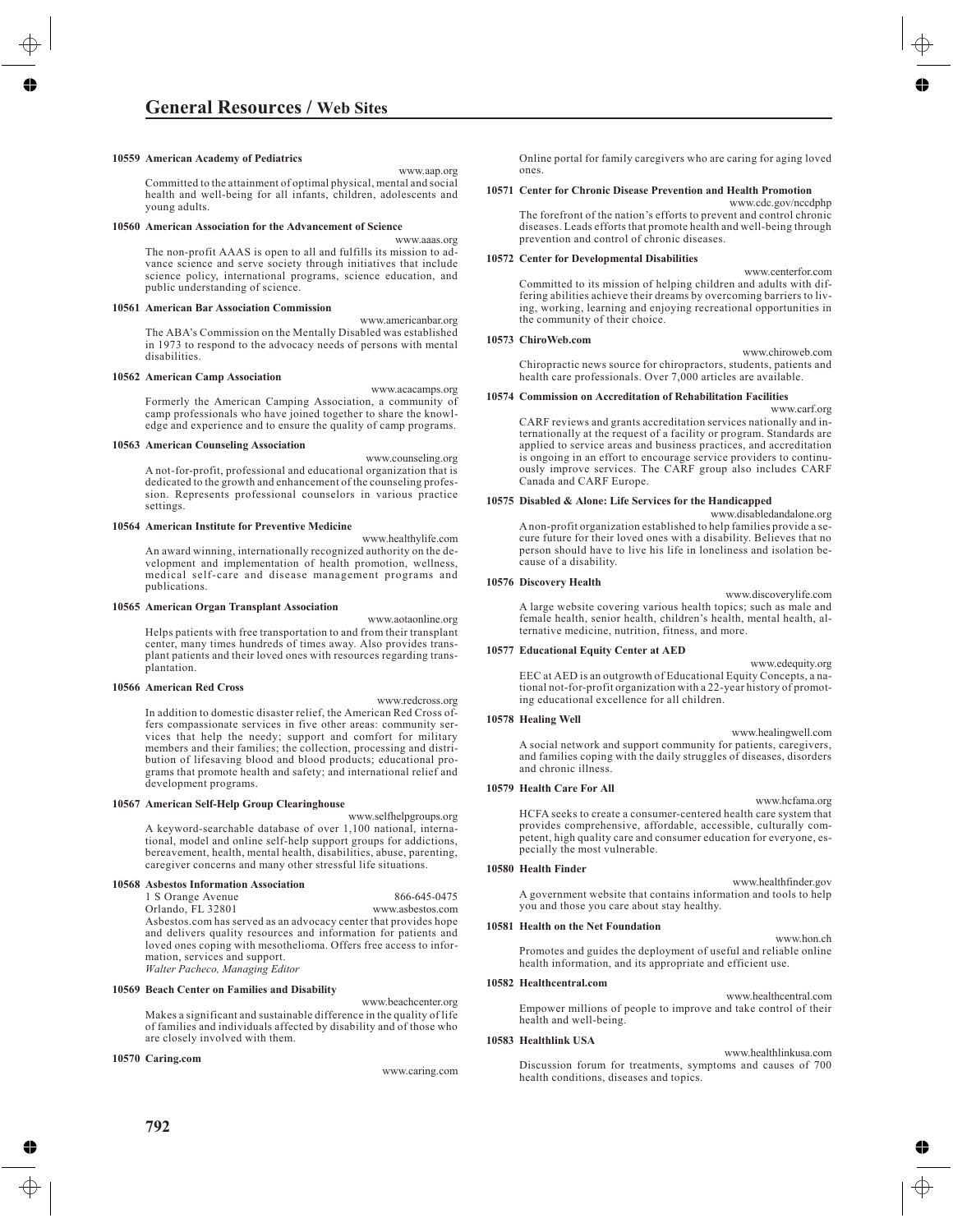# **General Resources / Web Sites**

### **10559 American Academy of Pediatrics**

www.aap.org

Committed to the attainment of optimal physical, mental and social health and well-being for all infants, children, adolescents and young adults.

#### **10560 American Association for the Advancement of Science**

www.aaas.org The non-profit AAAS is open to all and fulfills its mission to advance science and serve society through initiatives that include science policy, international programs, science education, and public understanding of science.

#### **10561 American Bar Association Commission**

www.americanbar.org The ABA's Commission on the Mentally Disabled was established in 1973 to respond to the advocacy needs of persons with mental disabilities.

#### **10562 American Camp Association**

www.acacamps.org Formerly the American Camping Association, a community of camp professionals who have joined together to share the knowledge and experience and to ensure the quality of camp programs.

#### **10563 American Counseling Association**

www.counseling.org A not-for-profit, professional and educational organization that is dedicated to the growth and enhancement of the counseling profession. Represents professional counselors in various practice settings.

#### **10564 American Institute for Preventive Medicine**

www.healthylife.com An award winning, internationally recognized authority on the development and implementation of health promotion, wellness, medical self-care and disease management programs and publications.

#### **10565 American Organ Transplant Association**

www.aotaonline.org

Helps patients with free transportation to and from their transplant center, many times hundreds of times away. Also provides transplant patients and their loved ones with resources regarding transplantation.

#### **10566 American Red Cross**

www.redcross.org

In addition to domestic disaster relief, the American Red Cross offers compassionate services in five other areas: community services that help the needy; support and comfort for military members and their families; the collection, processing and distribution of lifesaving blood and blood products; educational programs that promote health and safety; and international relief and development programs.

#### **10567 American Self-Help Group Clearinghouse**

www.selfhelpgroups.org A keyword-searchable database of over 1,100 national, international, model and online self-help support groups for addictions, bereavement, health, mental health, disabilities, abuse, parenting, caregiver concerns and many other stressful life situations.

#### **10568 Asbestos Information Association**

1 S Orange Avenue Orlando, FL 32801 866-645-0475 www.asbestos.com Asbestos.com has served as an advocacy center that provides hope and delivers quality resources and information for patients and loved ones coping with mesothelioma. Offers free access to information, services and support. *Walter Pacheco, Managing Editor*

#### **10569 Beach Center on Families and Disability**

www.beachcenter.org Makes a significant and sustainable difference in the quality of life of families and individuals affected by disability and of those who are closely involved with them.

#### **10570 Caring.com**

www.caring.com

Online portal for family caregivers who are caring for aging loved ones.

#### **10571 Center for Chronic Disease Prevention and Health Promotion**

www.cdc.gov/nccdphp The forefront of the nation's efforts to prevent and control chronic diseases. Leads efforts that promote health and well-being through prevention and control of chronic diseases.

#### **10572 Center for Developmental Disabilities**

www.centerfor.com Committed to its mission of helping children and adults with differing abilities achieve their dreams by overcoming barriers to living, working, learning and enjoying recreational opportunities in the community of their choice.

#### **10573 ChiroWeb.com**

www.chiroweb.com Chiropractic news source for chiropractors, students, patients and health care professionals. Over 7,000 articles are available.

#### **10574 Commission on Accreditation of Rehabilitation Facilities**

www.carf.org CARF reviews and grants accreditation services nationally and internationally at the request of a facility or program. Standards are applied to service areas and business practices, and accreditation is ongoing in an effort to encourage service providers to continuously improve services. The CARF group also includes CARF Canada and CARF Europe.

#### **10575 Disabled & Alone: Life Services for the Handicapped**

www.disabledandalone.org A non-profit organization established to help families provide a secure future for their loved ones with a disability. Believes that no person should have to live his life in loneliness and isolation because of a disability.

#### **10576 Discovery Health**

www.discoverylife.com A large website covering various health topics; such as male and female health, senior health, children's health, mental health, alternative medicine, nutrition, fitness, and more.

#### **10577 Educational Equity Center at AED**

www.edequity.org EEC at AED is an outgrowth of Educational Equity Concepts, a national not-for-profit organization with a 22-year history of promoting educational excellence for all children.

#### **10578 Healing Well**

www.healingwell.com A social network and support community for patients, caregivers, and families coping with the daily struggles of diseases, disorders and chronic illness.

#### **10579 Health Care For All**

www.hcfama.org HCFA seeks to create a consumer-centered health care system that provides comprehensive, affordable, accessible, culturally competent, high quality care and consumer education for everyone, especially the most vulnerable.

#### **10580 Health Finder**

www.healthfinder.gov A government website that contains information and tools to help you and those you care about stay healthy.

#### **10581 Health on the Net Foundation**

www.hon.ch Promotes and guides the deployment of useful and reliable online health information, and its appropriate and efficient use.

#### **10582 Healthcentral.com**

www.healthcentral.com Empower millions of people to improve and take control of their health and well-being.

#### **10583 Healthlink USA**

www.healthlinkusa.com Discussion forum for treatments, symptoms and causes of 700 health conditions, diseases and topics.